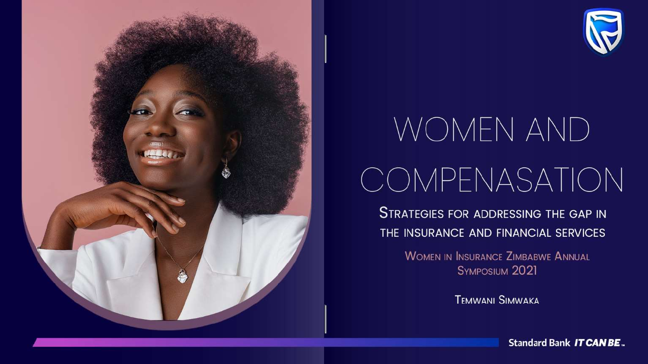



# WOMEN AND COMPENASATION

**STRATEGIES FOR ADDRESSING THE GAP IN** THE INSURANCE AND FINANCIAL SERVICES

> **WOMEN IN INSURANCE ZIMBABWE ANNUAL** SYMPOSIUM 2021

> > **TEMWANI SIMWAKA**

**Standard Bank IT CAN BE.**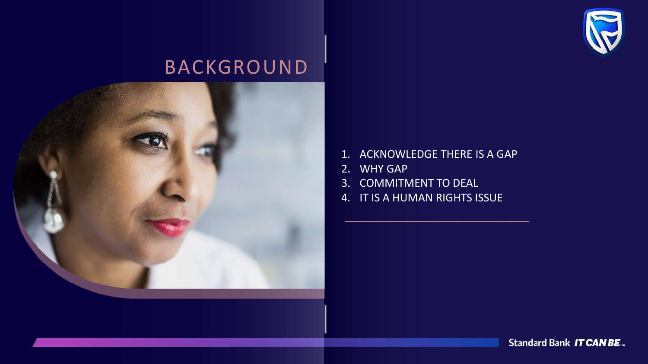

#### BACKGROUND



- 1. ACKNOWLEDGE THERE IS A GAP
- 2. WHY GAP
- 3. COMMITMENT TO DEAL
- 4. IT IS A HUMAN RIGHTS ISSUE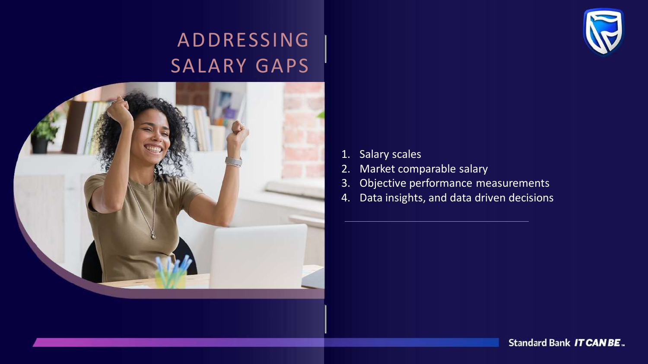#### ADDRESSING SALARY GAPS



- 1. Salary scales
- 2. Market comparable salary
- 3. Objective performance measurements
- 4. Data insights, and data driven decisions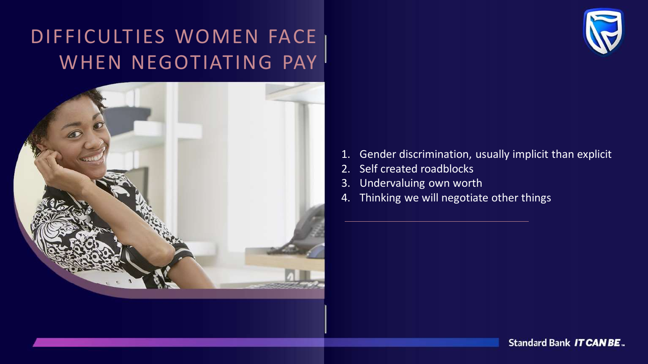## DIFFICULTIES WOMEN FACE WHEN NEGOTIATING PAY





- 1. Gender discrimination, usually implicit than explicit
- 2. Self created roadblocks
- 3. Undervaluing own worth
- 4. Thinking we will negotiate other things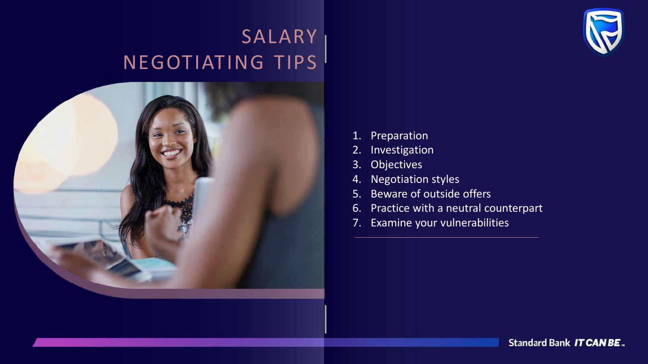### **SALARY** NEGOTIATING TIPS



- 1. Preparation
- 2. Investigation
- 3. Objectives
- 4. Negotiation styles
- 5. Beware of outside offers
- 6. Practice with a neutral counterpart
- 7. Examine your vulnerabilities

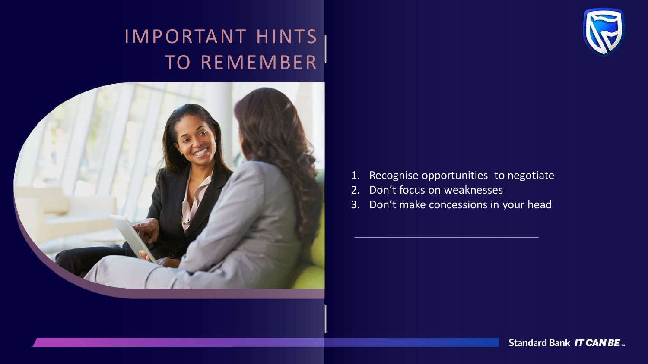#### IMPORTANT HINTS TO REMEMBER



- 1. Recognise opportunities to negotiate
- 2. Don't focus on weaknesses
- 3. Don't make concessions in your head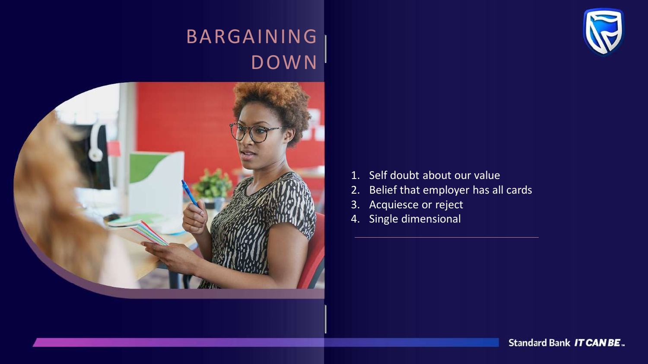#### BARGAINING DOWN





- 1. Self doubt about our value
- 2. Belief that employer has all cards
- 3. Acquiesce or reject
- 4. Single dimensional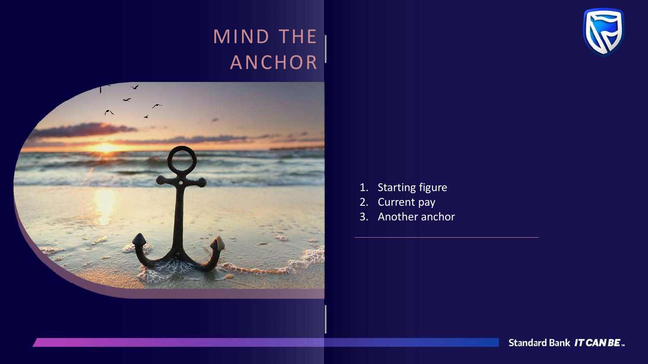#### MIND THE ANCHOR



- 1. Starting figure
- 2. Current pay
- 3. Another anchor

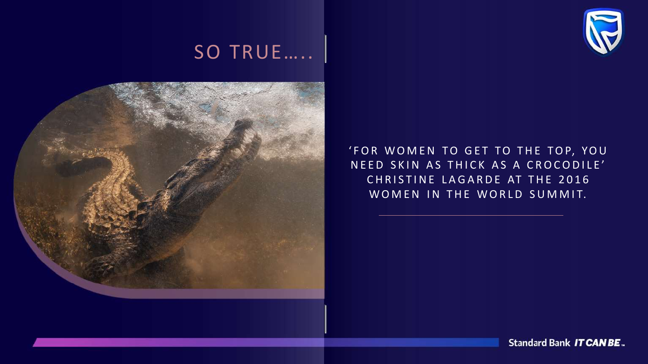#### SO TRUE.....



'FOR WOMEN TO GET TO THE TOP, YOU NEED SKIN AS THICK AS A CROCODILE' CHRISTINE LAGARDE AT THE 2016 WOMEN IN THE WORLD SUMMIT.

Standard Bank IT CAN BE.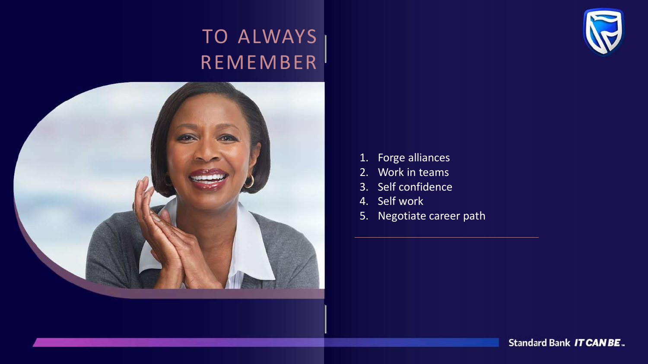### TO ALWAYS REMEMBER



- 1. Forge alliances
- 2. Work in teams
- 3. Self confidence
- 4. Self work
- 5. Negotiate career path